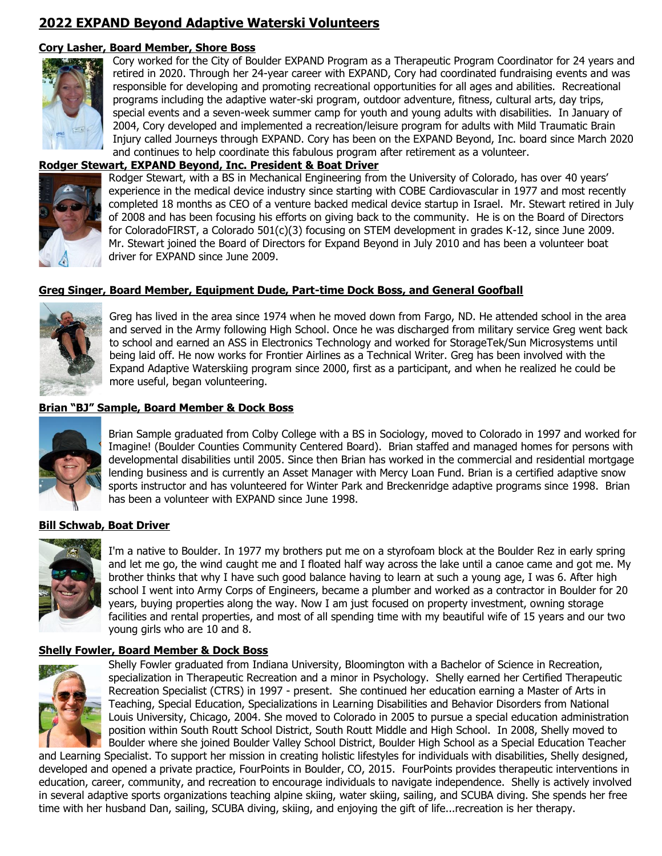# **2022 EXPAND Beyond Adaptive Waterski Volunteers**

# **Cory Lasher, Board Member, Shore Boss**



Cory worked for the City of Boulder EXPAND Program as a Therapeutic Program Coordinator for 24 years and retired in 2020. Through her 24-year career with EXPAND, Cory had coordinated fundraising events and was responsible for developing and promoting recreational opportunities for all ages and abilities. Recreational programs including the adaptive water-ski program, outdoor adventure, fitness, cultural arts, day trips, special events and a seven-week summer camp for youth and young adults with disabilities. In January of 2004, Cory developed and implemented a recreation/leisure program for adults with Mild Traumatic Brain Injury called Journeys through EXPAND. Cory has been on the EXPAND Beyond, Inc. board since March 2020 and continues to help coordinate this fabulous program after retirement as a volunteer.

# **Rodger Stewart, EXPAND Beyond, Inc. President & Boat Driver**



Rodger Stewart, with a BS in Mechanical Engineering from the University of Colorado, has over 40 years' experience in the medical device industry since starting with COBE Cardiovascular in 1977 and most recently completed 18 months as CEO of a venture backed medical device startup in Israel. Mr. Stewart retired in July of 2008 and has been focusing his efforts on giving back to the community. He is on the Board of Directors for ColoradoFIRST, a Colorado 501(c)(3) focusing on STEM development in grades K-12, since June 2009. Mr. Stewart joined the Board of Directors for Expand Beyond in July 2010 and has been a volunteer boat driver for EXPAND since June 2009.

# **Greg Singer, Board Member, Equipment Dude, Part-time Dock Boss, and General Goofball**



Greg has lived in the area since 1974 when he moved down from Fargo, ND. He attended school in the area and served in the Army following High School. Once he was discharged from military service Greg went back to school and earned an ASS in Electronics Technology and worked for StorageTek/Sun Microsystems until being laid off. He now works for Frontier Airlines as a Technical Writer. Greg has been involved with the Expand Adaptive Waterskiing program since 2000, first as a participant, and when he realized he could be more useful, began volunteering.

# **Brian "BJ" Sample, Board Member & Dock Boss**



Brian Sample graduated from Colby College with a BS in Sociology, moved to Colorado in 1997 and worked for Imagine! (Boulder Counties Community Centered Board). Brian staffed and managed homes for persons with developmental disabilities until 2005. Since then Brian has worked in the commercial and residential mortgage lending business and is currently an Asset Manager with Mercy Loan Fund. Brian is a certified adaptive snow sports instructor and has volunteered for Winter Park and Breckenridge adaptive programs since 1998. Brian has been a volunteer with EXPAND since June 1998.

# **Bill Schwab, Boat Driver**



I'm a native to Boulder. In 1977 my brothers put me on a styrofoam block at the Boulder Rez in early spring and let me go, the wind caught me and I floated half way across the lake until a canoe came and got me. My brother thinks that why I have such good balance having to learn at such a young age, I was 6. After high school I went into Army Corps of Engineers, became a plumber and worked as a contractor in Boulder for 20 years, buying properties along the way. Now I am just focused on property investment, owning storage facilities and rental properties, and most of all spending time with my beautiful wife of 15 years and our two young girls who are 10 and 8.

# **Shelly Fowler, Board Member & Dock Boss**



Shelly Fowler graduated from Indiana University, Bloomington with a Bachelor of Science in Recreation, specialization in Therapeutic Recreation and a minor in Psychology. Shelly earned her Certified Therapeutic Recreation Specialist (CTRS) in 1997 - present. She continued her education earning a Master of Arts in Teaching, Special Education, Specializations in Learning Disabilities and Behavior Disorders from National Louis University, Chicago, 2004. She moved to Colorado in 2005 to pursue a special education administration position within South Routt School District, South Routt Middle and High School. In 2008, Shelly moved to Boulder where she joined Boulder Valley School District, Boulder High School as a Special Education Teacher

and Learning Specialist. To support her mission in creating holistic lifestyles for individuals with disabilities, Shelly designed, developed and opened a private practice, FourPoints in Boulder, CO, 2015. FourPoints provides therapeutic interventions in education, career, community, and recreation to encourage individuals to navigate independence. Shelly is actively involved in several adaptive sports organizations teaching alpine skiing, water skiing, sailing, and SCUBA diving. She spends her free time with her husband Dan, sailing, SCUBA diving, skiing, and enjoying the gift of life...recreation is her therapy.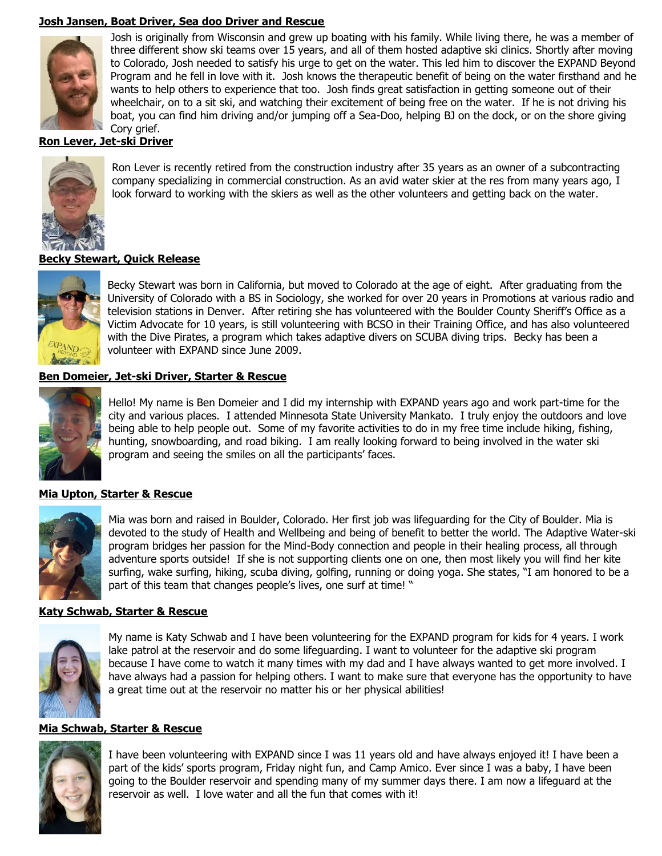# **Josh Jansen, Boat Driver, Sea doo Driver and Rescue**



Josh is originally from Wisconsin and grew up boating with his family. While living there, he was a member of three different show ski teams over 15 years, and all of them hosted adaptive ski clinics. Shortly after moving to Colorado, Josh needed to satisfy his urge to get on the water. This led him to discover the EXPAND Beyond Program and he fell in love with it. Josh knows the therapeutic benefit of being on the water firsthand and he wants to help others to experience that too. Josh finds great satisfaction in getting someone out of their wheelchair, on to a sit ski, and watching their excitement of being free on the water. If he is not driving his boat, you can find him driving and/or jumping off a Sea-Doo, helping BJ on the dock, or on the shore giving Corv arief.

### **Ron Lever, Jet-ski Driver**



Ron Lever is recently retired from the construction industry after 35 years as an owner of a subcontracting company specializing in commercial construction. As an avid water skier at the res from many years ago, I look forward to working with the skiers as well as the other volunteers and getting back on the water.

# **Becky Stewart, Quick Release**



Becky Stewart was born in California, but moved to Colorado at the age of eight. After graduating from the University of Colorado with a BS in Sociology, she worked for over 20 years in Promotions at various radio and television stations in Denver. After retiring she has volunteered with the Boulder County Sheriff's Office as a Victim Advocate for 10 years, is still volunteering with BCSO in their Training Office, and has also volunteered with the Dive Pirates, a program which takes adaptive divers on SCUBA diving trips. Becky has been a volunteer with EXPAND since June 2009.

#### **Ben Domeier, Jet-ski Driver, Starter & Rescue**



Hello! My name is Ben Domeier and I did my internship with EXPAND years ago and work part-time for the city and various places. I attended Minnesota State University Mankato. I truly enjoy the outdoors and love being able to help people out. Some of my favorite activities to do in my free time include hiking, fishing, hunting, snowboarding, and road biking. I am really looking forward to being involved in the water ski program and seeing the smiles on all the participants' faces.

#### **Mia Upton, Starter & Rescue**



Mia was born and raised in Boulder, Colorado. Her first job was lifeguarding for the City of Boulder. Mia is devoted to the study of Health and Wellbeing and being of benefit to better the world. The Adaptive Water-ski program bridges her passion for the Mind-Body connection and people in their healing process, all through adventure sports outside! If she is not supporting clients one on one, then most likely you will find her kite surfing, wake surfing, hiking, scuba diving, golfing, running or doing yoga. She states, "I am honored to be a part of this team that changes people's lives, one surf at time! "

#### **Katy Schwab, Starter & Rescue**



My name is Katy Schwab and I have been volunteering for the EXPAND program for kids for 4 years. I work lake patrol at the reservoir and do some lifeguarding. I want to volunteer for the adaptive ski program because I have come to watch it many times with my dad and I have always wanted to get more involved. I have always had a passion for helping others. I want to make sure that everyone has the opportunity to have a great time out at the reservoir no matter his or her physical abilities!

#### **Mia Schwab, Starter & Rescue**



I have been volunteering with EXPAND since I was 11 years old and have always enjoyed it! I have been a part of the kids' sports program, Friday night fun, and Camp Amico. Ever since I was a baby, I have been going to the Boulder reservoir and spending many of my summer days there. I am now a lifeguard at the reservoir as well. I love water and all the fun that comes with it!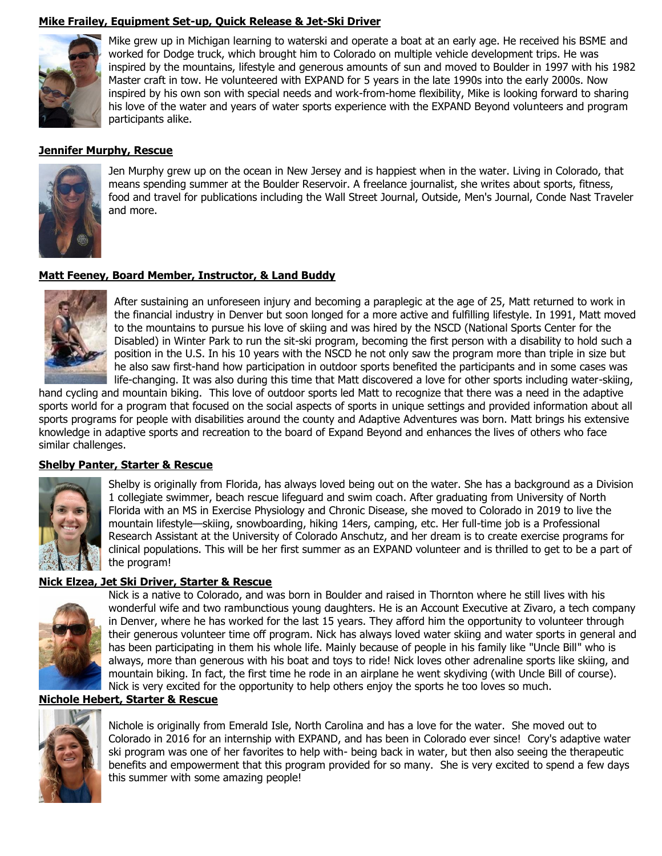# **Mike Frailey, Equipment Set-up, Quick Release & Jet-Ski Driver**



Mike grew up in Michigan learning to waterski and operate a boat at an early age. He received his BSME and worked for Dodge truck, which brought him to Colorado on multiple vehicle development trips. He was inspired by the mountains, lifestyle and generous amounts of sun and moved to Boulder in 1997 with his 1982 Master craft in tow. He volunteered with EXPAND for 5 years in the late 1990s into the early 2000s. Now inspired by his own son with special needs and work-from-home flexibility, Mike is looking forward to sharing his love of the water and years of water sports experience with the EXPAND Beyond volunteers and program participants alike.

#### **Jennifer Murphy, Rescue**



Jen Murphy grew up on the ocean in New Jersey and is happiest when in the water. Living in Colorado, that means spending summer at the Boulder Reservoir. A freelance journalist, she writes about sports, fitness, food and travel for publications including the Wall Street Journal, Outside, Men's Journal, Conde Nast Traveler and more.

#### **Matt Feeney, Board Member, Instructor, & Land Buddy**



After sustaining an unforeseen injury and becoming a paraplegic at the age of 25, Matt returned to work in the financial industry in Denver but soon longed for a more active and fulfilling lifestyle. In 1991, Matt moved to the mountains to pursue his love of skiing and was hired by the NSCD (National Sports Center for the Disabled) in Winter Park to run the sit-ski program, becoming the first person with a disability to hold such a position in the U.S. In his 10 years with the NSCD he not only saw the program more than triple in size but he also saw first-hand how participation in outdoor sports benefited the participants and in some cases was life-changing. It was also during this time that Matt discovered a love for other sports including water-skiing,

hand cycling and mountain biking. This love of outdoor sports led Matt to recognize that there was a need in the adaptive sports world for a program that focused on the social aspects of sports in unique settings and provided information about all sports programs for people with disabilities around the county and Adaptive Adventures was born. Matt brings his extensive knowledge in adaptive sports and recreation to the board of Expand Beyond and enhances the lives of others who face similar challenges.

#### **Shelby Panter, Starter & Rescue**



Shelby is originally from Florida, has always loved being out on the water. She has a background as a Division 1 collegiate swimmer, beach rescue lifeguard and swim coach. After graduating from University of North Florida with an MS in Exercise Physiology and Chronic Disease, she moved to Colorado in 2019 to live the mountain lifestyle—skiing, snowboarding, hiking 14ers, camping, etc. Her full-time job is a Professional Research Assistant at the University of Colorado Anschutz, and her dream is to create exercise programs for clinical populations. This will be her first summer as an EXPAND volunteer and is thrilled to get to be a part of the program!

#### **Nick Elzea, Jet Ski Driver, Starter & Rescue**



Nick is a native to Colorado, and was born in Boulder and raised in Thornton where he still lives with his wonderful wife and two rambunctious young daughters. He is an Account Executive at Zivaro, a tech company in Denver, where he has worked for the last 15 years. They afford him the opportunity to volunteer through their generous volunteer time off program. Nick has always loved water skiing and water sports in general and has been participating in them his whole life. Mainly because of people in his family like "Uncle Bill" who is always, more than generous with his boat and toys to ride! Nick loves other adrenaline sports like skiing, and mountain biking. In fact, the first time he rode in an airplane he went skydiving (with Uncle Bill of course). Nick is very excited for the opportunity to help others enjoy the sports he too loves so much.

#### **Nichole Hebert, Starter & Rescue**



Nichole is originally from Emerald Isle, North Carolina and has a love for the water. She moved out to Colorado in 2016 for an internship with EXPAND, and has been in Colorado ever since! Cory's adaptive water ski program was one of her favorites to help with- being back in water, but then also seeing the therapeutic benefits and empowerment that this program provided for so many. She is very excited to spend a few days this summer with some amazing people!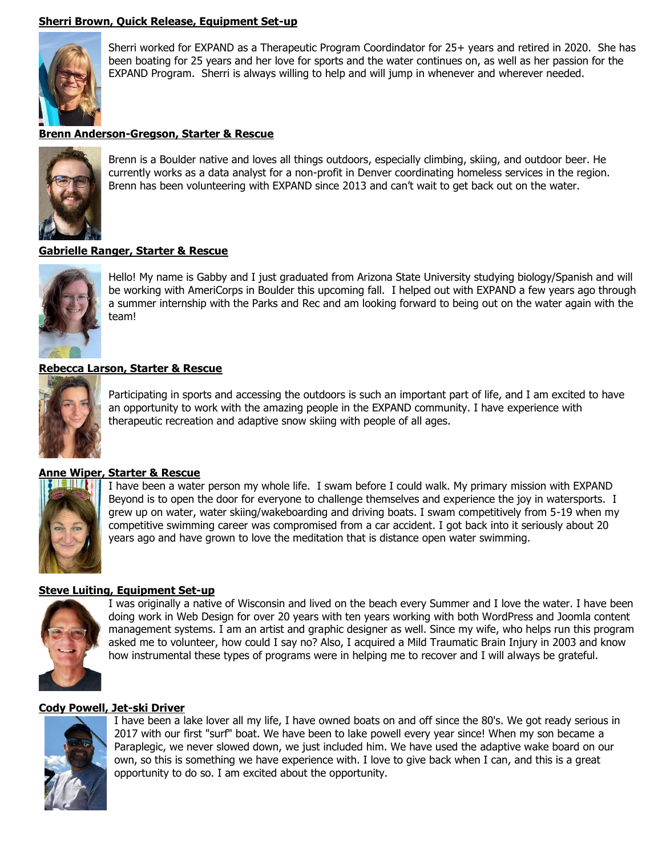# **Sherri Brown, Quick Release, Equipment Set-up**



Sherri worked for EXPAND as a Therapeutic Program Coordindator for 25+ years and retired in 2020. She has been boating for 25 years and her love for sports and the water continues on, as well as her passion for the EXPAND Program. Sherri is always willing to help and will jump in whenever and wherever needed.

#### **Brenn Anderson-Gregson, Starter & Rescue**



Brenn is a Boulder native and loves all things outdoors, especially climbing, skiing, and outdoor beer. He currently works as a data analyst for a non-profit in Denver coordinating homeless services in the region. Brenn has been volunteering with EXPAND since 2013 and can't wait to get back out on the water.

#### **Gabrielle Ranger, Starter & Rescue**



Hello! My name is Gabby and I just graduated from Arizona State University studying biology/Spanish and will be working with AmeriCorps in Boulder this upcoming fall. I helped out with EXPAND a few years ago through a summer internship with the Parks and Rec and am looking forward to being out on the water again with the team!

#### **Rebecca Larson, Starter & Rescue**



Participating in sports and accessing the outdoors is such an important part of life, and I am excited to have an opportunity to work with the amazing people in the EXPAND community. I have experience with therapeutic recreation and adaptive snow skiing with people of all ages.

# **Anne Wiper, Starter & Rescue**



I have been a water person my whole life. I swam before I could walk. My primary mission with EXPAND Beyond is to open the door for everyone to challenge themselves and experience the joy in watersports. I grew up on water, water skiing/wakeboarding and driving boats. I swam competitively from 5-19 when my competitive swimming career was compromised from a car accident. I got back into it seriously about 20 years ago and have grown to love the meditation that is distance open water swimming.

#### **Steve Luiting, Equipment Set-up**



I was originally a native of Wisconsin and lived on the beach every Summer and I love the water. I have been doing work in Web Design for over 20 years with ten years working with both WordPress and Joomla content management systems. I am an artist and graphic designer as well. Since my wife, who helps run this program asked me to volunteer, how could I say no? Also, I acquired a Mild Traumatic Brain Injury in 2003 and know how instrumental these types of programs were in helping me to recover and I will always be grateful.

#### **Cody Powell, Jet-ski Driver**



I have been a lake lover all my life, I have owned boats on and off since the 80's. We got ready serious in 2017 with our first "surf" boat. We have been to lake powell every year since! When my son became a Paraplegic, we never slowed down, we just included him. We have used the adaptive wake board on our own, so this is something we have experience with. I love to give back when I can, and this is a great opportunity to do so. I am excited about the opportunity.